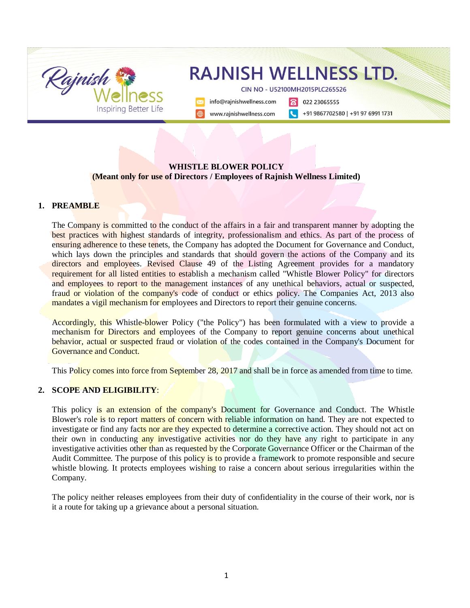

### **WHISTLE BLOWER POLICY (Meant only for use of Directors / Employees of Rajnish Wellness Limited)**

#### **1. PREAMBLE**

The Company is committed to the conduct of the affairs in a fair and transparent manner by adopting the best practices with highest standards of integrity, professionalism and ethics. As part of the process of ensuring adherence to these tenets, the Company has adopted the Document for Governance and Conduct, which lays down the principles and standards that should govern the actions of the Company and its directors and employees. Revised Clause 49 of the Listing Agreement provides for a mandatory requirement for all listed entities to establish a mechanism called "Whistle Blower Policy" for directors and employees to report to the management instances of any unethical behaviors, actual or suspected, fraud or violation of the company's code of conduct or ethics policy. The Companies Act, 2013 also mandates a vigil mechanism for employees and Directors to report their genuine concerns.

Accordingly, this Whistle-blower Policy ("the Policy") has been formulated with a view to provide a mechanism for Directors and employees of the Company to report genuine concerns about unethical behavior, actual or suspected fraud or violation of the codes contained in the Company's Document for Governance and Conduct.

This Policy comes into force from September 28, 2017 and shall be in force as amended from time to time.

#### **2. SCOPE AND ELIGIBILITY**:

This policy is an extension of the company's Document for Governance and Conduct. The Whistle Blower's role is to report matters of concern with reliable information on hand. They are not expected to investigate or find any facts nor are they expected to determine a corrective action. They should not act on their own in conducting any investigative activities nor do they have any right to participate in any investigative activities other than as requested by the Corporate Governance Officer or the Chairman of the Audit Committee. The purpose of this policy is to provide a framework to promote responsible and secure whistle blowing. It protects employees wishing to raise a concern about serious irregularities within the Company.

The policy neither releases employees from their duty of confidentiality in the course of their work, nor is it a route for taking up a grievance about a personal situation.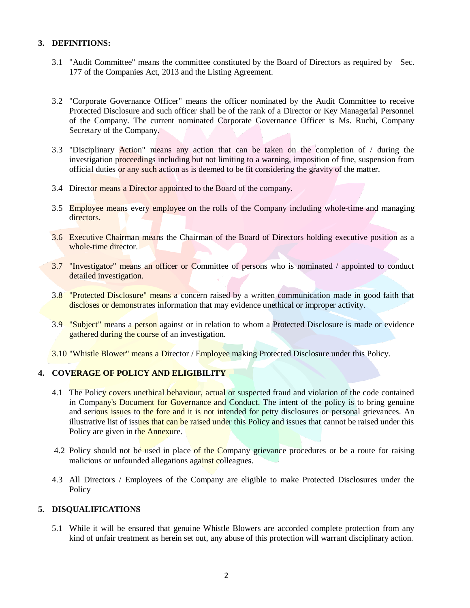### **3. DEFINITIONS:**

- 3.1 "Audit Committee" means the committee constituted by the Board of Directors as required by Sec. 177 of the Companies Act, 2013 and the Listing Agreement.
- 3.2 "Corporate Governance Officer" means the officer nominated by the Audit Committee to receive Protected Disclosure and such officer shall be of the rank of a Director or Key Managerial Personnel of the Company. The current nominated Corporate Governance Officer is Ms. Ruchi, Company Secretary of the Company.
- 3.3 "Disciplinary Action" means any action that can be taken on the completion of / during the investigation proceedings including but not limiting to a warning, imposition of fine, suspension from official duties or any such action as is deemed to be fit considering the gravity of the matter.
- 3.4 Director means a Director appointed to the Board of the company.
- 3.5 Employee means every employee on the rolls of the Company including whole-time and managing directors.
- 3.6 Executive Chairman means the Chairman of the Board of Directors holding executive position as a whole-time director.
- 3.7 "Investigator" means an officer or Committee of persons who is nominated / appointed to conduct detailed investigation.
- 3.8 "Protected Disclosure" means a concern raised by a written communication made in good faith that discloses or demonstrates information that may evidence unethical or improper activity.
- 3.9 "Subject" means a person against or in relation to whom a Protected Disclosure is made or evidence gathered during the course of an investigation.
- 3.10 "Whistle Blower" means a Director / Employee making Protected Disclosure under this Policy.

### **4. COVERAGE OF POLICY AND ELIGIBILITY**

- 4.1 The Policy covers unethical behaviour, actual or suspected fraud and violation of the code contained in Company's Document for Governance and Conduct. The intent of the policy is to bring genuine and serious issues to the fore and it is not intended for petty disclosures or personal grievances. An illustrative list of issues that can be raised under this Policy and issues that cannot be raised under this Policy are given in the Annexure.
- 4.2 Policy should not be used in place of the Company grievance procedures or be a route for raising malicious or unfounded allegations against colleagues.
- 4.3 All Directors / Employees of the Company are eligible to make Protected Disclosures under the Policy

#### **5. DISQUALIFICATIONS**

5.1 While it will be ensured that genuine Whistle Blowers are accorded complete protection from any kind of unfair treatment as herein set out, any abuse of this protection will warrant disciplinary action.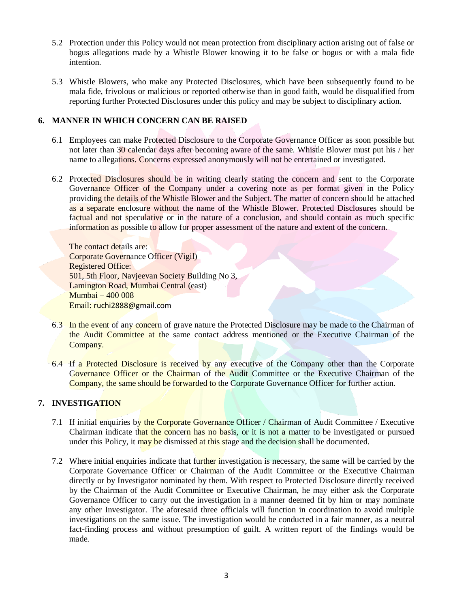- 5.2 Protection under this Policy would not mean protection from disciplinary action arising out of false or bogus allegations made by a Whistle Blower knowing it to be false or bogus or with a mala fide intention.
- 5.3 Whistle Blowers, who make any Protected Disclosures, which have been subsequently found to be mala fide, frivolous or malicious or reported otherwise than in good faith, would be disqualified from reporting further Protected Disclosures under this policy and may be subject to disciplinary action.

## **6. MANNER IN WHICH CONCERN CAN BE RAISED**

- 6.1 Employees can make Protected Disclosure to the Corporate Governance Officer as soon possible but not later than 30 calendar days after becoming aware of the same. Whistle Blower must put his / her name to allegations. Concerns expressed anonymously will not be entertained or investigated.
- 6.2 Protected Disclosures should be in writing clearly stating the concern and sent to the Corporate Governance Officer of the Company under a covering note as per format given in the Policy providing the details of the Whistle Blower and the Subject. The matter of concern should be attached as a separate enclosure without the name of the Whistle Blower. Protected Disclosures should be factual and not speculative or in the nature of a conclusion, and should contain as much specific information as possible to allow for proper assessment of the nature and extent of the concern.

The contact details are: Corporate Governance Officer (Vigil) Registered Office: 501, 5th Floor, Navjeevan Society Building No 3, Lamington Road, Mumbai Central (east) Mumbai – 400 008 Email: [ruchi2888@gmail.com](mailto:ruchi2888@gmail.com)

- 6.3 In the event of any concern of grave nature the Protected Disclosure may be made to the Chairman of the Audit Committee at the same contact address mentioned or the Executive Chairman of the Company.
- 6.4 If a Protected Disclosure is received by any executive of the Company other than the Corporate Governance Officer or the Chairman of the Audit Committee or the Executive Chairman of the Company, the same should be forwarded to the Corporate Governance Officer for further action.

## **7. INVESTIGATION**

- 7.1 If initial enquiries by the Corporate Governance Officer / Chairman of Audit Committee / Executive Chairman indicate that the concern has no basis, or it is not a matter to be investigated or pursued under this Policy, it may be dismissed at this stage and the decision shall be documented.
- 7.2 Where initial enquiries indicate that further investigation is necessary, the same will be carried by the Corporate Governance Officer or Chairman of the Audit Committee or the Executive Chairman directly or by Investigator nominated by them. With respect to Protected Disclosure directly received by the Chairman of the Audit Committee or Executive Chairman, he may either ask the Corporate Governance Officer to carry out the investigation in a manner deemed fit by him or may nominate any other Investigator. The aforesaid three officials will function in coordination to avoid multiple investigations on the same issue. The investigation would be conducted in a fair manner, as a neutral fact-finding process and without presumption of guilt. A written report of the findings would be made.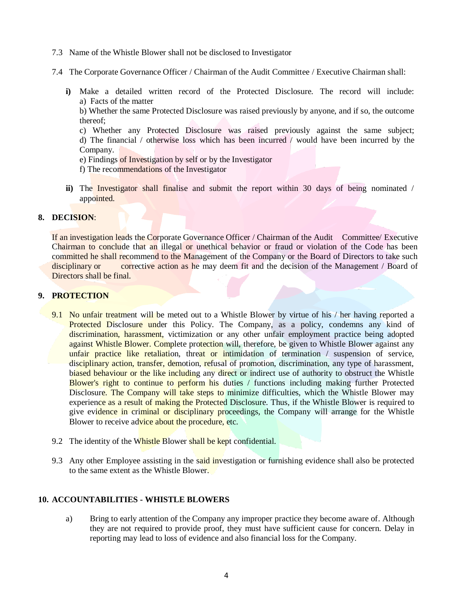- 7.3 Name of the Whistle Blower shall not be disclosed to Investigator
- 7.4 The Corporate Governance Officer / Chairman of the Audit Committee / Executive Chairman shall:
	- **i)** Make a detailed written record of the Protected Disclosure. The record will include: a) Facts of the matter

b) Whether the same Protected Disclosure was raised previously by anyone, and if so, the outcome thereof;

- c) Whether any Protected Disclosure was raised previously against the same subject; d) The financial / otherwise loss which has been incurred / would have been incurred by the Company.
- e) Findings of Investigation by self or by the Investigator
- f) The recommendations of the Investigator
- **ii)** The Investigator shall finalise and submit the report within 30 days of being nominated / appointed.

#### **8. DECISION**:

If an investigation leads the Corporate Governance Officer / Chairman of the Audit Committee/ Executive Chairman to conclude that an illegal or unethical behavior or fraud or violation of the Code has been committed he shall recommend to the Management of the Company or the Board of Directors to take such disciplinary or corrective action as he may deem fit and the decision of the Management / Board of Directors shall be final.

#### **9. PROTECTION**

- 9.1 No unfair treatment will be meted out to a Whistle Blower by virtue of his / her having reported a Protected Disclosure under this Policy. The Company, as a policy, condemns any kind of discrimination, harassment, victimization or any other unfair employment practice being adopted against Whistle Blower. Complete protection will, therefore, be given to Whistle Blower against any unfair practice like retaliation, threat or intimidation of termination / suspension of service, disciplinary action, transfer, demotion, refusal of promotion, discrimination, any type of harassment, biased behaviour or the like including any direct or indirect use of authority to obstruct the Whistle Blower's right to continue to perform his duties / functions including making further Protected Disclosure. The Company will take steps to minimize difficulties, which the Whistle Blower may experience as a result of making the Protected Disclosure. Thus, if the Whistle Blower is required to give evidence in criminal or disciplinary proceedings, the Company will arrange for the Whistle Blower to receive advice about the procedure, etc.
- 9.2 The identity of the Whistle Blower shall be kept confidential.
- 9.3 Any other Employee assisting in the said investigation or furnishing evidence shall also be protected to the same extent as the Whistle Blower.

### **10. ACCOUNTABILITIES - WHISTLE BLOWERS**

a) Bring to early attention of the Company any improper practice they become aware of. Although they are not required to provide proof, they must have sufficient cause for concern. Delay in reporting may lead to loss of evidence and also financial loss for the Company.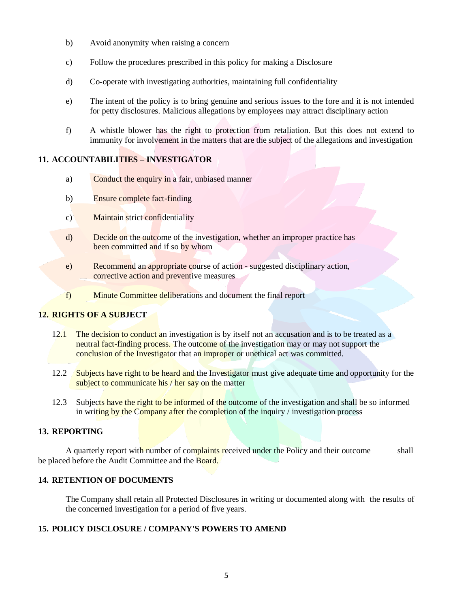- b) Avoid anonymity when raising a concern
- c) Follow the procedures prescribed in this policy for making a Disclosure
- d) Co-operate with investigating authorities, maintaining full confidentiality
- e) The intent of the policy is to bring genuine and serious issues to the fore and it is not intended for petty disclosures. Malicious allegations by employees may attract disciplinary action
- f) A whistle blower has the right to protection from retaliation. But this does not extend to immunity for involvement in the matters that are the subject of the allegations and investigation

### **11. ACCOUNTABILITIES – INVESTIGATOR**

- a) Conduct the enquiry in a fair, unbiased manner
- b) Ensure complete fact-finding
- c) Maintain strict confidentiality
- d) Decide on the outcome of the investigation, whether an improper practice has been committed and if so by whom
- e) Recommend an appropriate course of action suggested disciplinary action, corrective action and preventive measures
- f) Minute Committee deliberations and document the final report

## **12. RIGHTS OF A SUBJECT**

- 12.1 The decision to conduct an investigation is by itself not an accusation and is to be treated as a neutral fact-finding process. The outcome of the investigation may or may not support the conclusion of the Investigator that an improper or unethical act was committed.
- 12.2 Subjects have right to be heard and the Investigator must give adequate time and opportunity for the subject to communicate his / her say on the matter
- 12.3 Subjects have the right to be informed of the outcome of the investigation and shall be so informed in writing by the Company after the completion of the inquiry / investigation process

# **13. REPORTING**

A quarterly report with number of complaints received under the Policy and their outcome shall be placed before the Audit Committee and the Board.

### **14. RETENTION OF DOCUMENTS**

The Company shall retain all Protected Disclosures in writing or documented along with the results of the concerned investigation for a period of five years.

## **15. POLICY DISCLOSURE / COMPANY'S POWERS TO AMEND**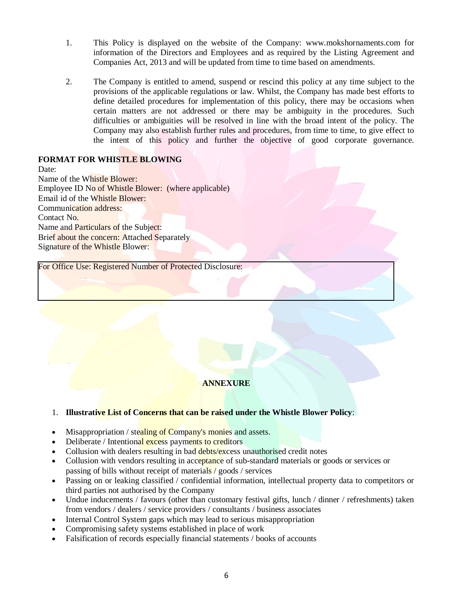- 1. This Policy is displayed on the website of the Company: www.mokshornaments.com for information of the Directors and Employees and as required by the Listing Agreement and Companies Act, 2013 and will be updated from time to time based on amendments.
- 2. The Company is entitled to amend, suspend or rescind this policy at any time subject to the provisions of the applicable regulations or law. Whilst, the Company has made best efforts to define detailed procedures for implementation of this policy, there may be occasions when certain matters are not addressed or there may be ambiguity in the procedures. Such difficulties or ambiguities will be resolved in line with the broad intent of the policy. The Company may also establish further rules and procedures, from time to time, to give effect to the intent of this policy and further the objective of good corporate governance.

## **FORMAT FOR WHISTLE BLOWING**

Date: Name of the Whistle Blower: Employee ID No of Whistle Blower: (where applicable) Email id of the Whistle Blower: Communication address: Contact No. Name and Particulars of the Subject: Brief about the concern: Attached Separately Signature of the Whistle Blower:

For Office Use: Registered Number of Protected Disclosure:

## **ANNEXURE**

## 1. **Illustrative List of Concerns that can be raised under the Whistle Blower Policy**:

- Misappropriation / stealing of Company's monies and assets.
- Deliberate / Intentional excess payments to creditors
- Collusion with dealers resulting in bad debts/excess unauthorised credit notes
- Collusion with vendors resulting in acceptance of sub-standard materials or goods or services or passing of bills without receipt of materials / goods / services
- Passing on or leaking classified / confidential information, intellectual property data to competitors or third parties not authorised by the Company
- Undue inducements / favours (other than customary festival gifts, lunch / dinner / refreshments) taken from vendors / dealers / service providers / consultants / business associates
- Internal Control System gaps which may lead to serious misappropriation
- Compromising safety systems established in place of work
- Falsification of records especially financial statements / books of accounts